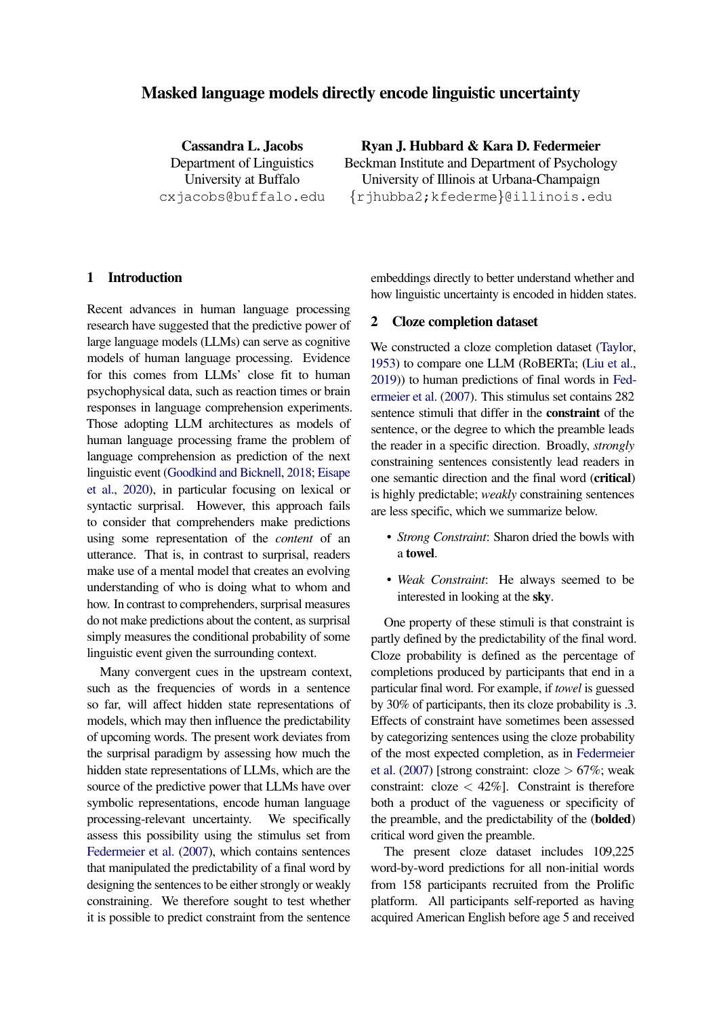# Masked language models directly encode linguistic uncertainty

Cassandra L. Jacobs Department of Linguistics University at Buffalo cxjacobs@buffalo.edu Ryan J. Hubbard & Kara D. Federmeier

Beckman Institute and Department of Psychology University of Illinois at Urbana-Champaign {rjhubba2;kfederme}@illinois.edu

# 1 Introduction

Recent advances in human language processing research have suggested that the predictive power of large language models (LLMs) can serve as cognitive models of human language processing. Evidence for this comes from LLMs' close fit to human psychophysical data, such as reaction times or brain responses in language comprehension experiments. Those adopting LLM architectures as models of human language processing frame the problem of language comprehension as prediction of the next linguistic event [\(Goodkind and Bicknell,](#page-3-0) [2018;](#page-3-0) [Eisape](#page-3-1) [et al.,](#page-3-1) [2020\)](#page-3-1), in particular focusing on lexical or syntactic surprisal. However, this approach fails to consider that comprehenders make predictions using some representation of the *content* of an utterance. That is, in contrast to surprisal, readers make use of a mental model that creates an evolving understanding of who is doing what to whom and how. In contrast to comprehenders, surprisal measures do not make predictions about the content, as surprisal simply measures the conditional probability of some linguistic event given the surrounding context.

Many convergent cues in the upstream context, such as the frequencies of words in a sentence so far, will affect hidden state representations of models, which may then influence the predictability of upcoming words. The present work deviates from the surprisal paradigm by assessing how much the hidden state representations of LLMs, which are the source of the predictive power that LLMs have over symbolic representations, encode human language processing-relevant uncertainty. We specifically assess this possibility using the stimulus set from [Federmeier et al.](#page-3-2) [\(2007\)](#page-3-2), which contains sentences that manipulated the predictability of a final word by designing the sentences to be either strongly or weakly constraining. We therefore sought to test whether it is possible to predict constraint from the sentence

embeddings directly to better understand whether and how linguistic uncertainty is encoded in hidden states.

## <span id="page-0-0"></span>2 Cloze completion dataset

We constructed a cloze completion dataset [\(Taylor,](#page-3-3) [1953\)](#page-3-3) to compare one LLM (RoBERTa; [\(Liu et al.,](#page-3-4) [2019\)](#page-3-4)) to human predictions of final words in [Fed](#page-3-2)[ermeier et al.](#page-3-2) [\(2007\)](#page-3-2). This stimulus set contains 282 sentence stimuli that differ in the constraint of the sentence, or the degree to which the preamble leads the reader in a specific direction. Broadly, *strongly* constraining sentences consistently lead readers in one semantic direction and the final word (critical) is highly predictable; *weakly* constraining sentences are less specific, which we summarize below.

- *Strong Constraint*: Sharon dried the bowls with a towel.
- *Weak Constraint*: He always seemed to be interested in looking at the sky.

One property of these stimuli is that constraint is partly defined by the predictability of the final word. Cloze probability is defined as the percentage of completions produced by participants that end in a particular final word. For example, if *towel* is guessed by 30% of participants, then its cloze probability is .3. Effects of constraint have sometimes been assessed by categorizing sentences using the cloze probability of the most expected completion, as in [Federmeier](#page-3-2) [et al.](#page-3-2) [\(2007\)](#page-3-2) [strong constraint: cloze  $> 67\%$ ; weak constraint:  $\text{cloze} < 42\%$ ]. Constraint is therefore both a product of the vagueness or specificity of the preamble, and the predictability of the (bolded) critical word given the preamble.

The present cloze dataset includes 109,225 word-by-word predictions for all non-initial words from 158 participants recruited from the Prolific platform. All participants self-reported as having acquired American English before age 5 and received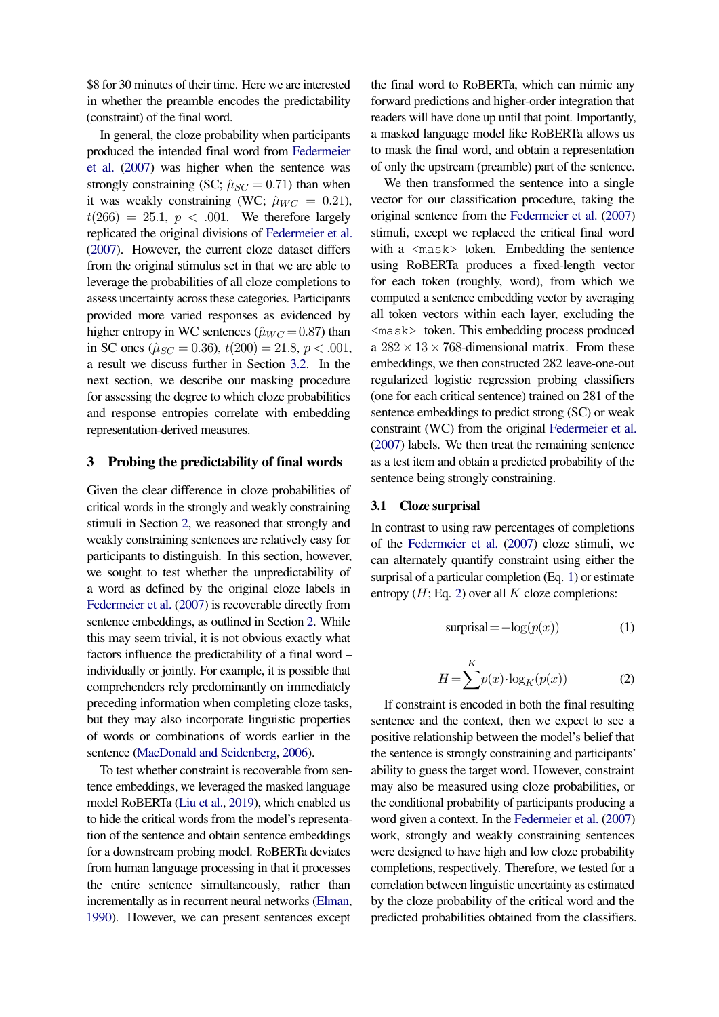\$8 for 30 minutes of their time. Here we are interested in whether the preamble encodes the predictability (constraint) of the final word.

In general, the cloze probability when participants produced the intended final word from [Federmeier](#page-3-2) [et al.](#page-3-2) [\(2007\)](#page-3-2) was higher when the sentence was strongly constraining (SC;  $\hat{\mu}_{SC} = 0.71$ ) than when it was weakly constraining (WC;  $\hat{\mu}_{WC} = 0.21$ ),  $t(266) = 25.1$ ,  $p < .001$ . We therefore largely replicated the original divisions of [Federmeier et al.](#page-3-2) [\(2007\)](#page-3-2). However, the current cloze dataset differs from the original stimulus set in that we are able to leverage the probabilities of all cloze completions to assess uncertainty across these categories. Participants provided more varied responses as evidenced by higher entropy in WC sentences ( $\hat{\mu}_{WC} = 0.87$ ) than in SC ones ( $\hat{\mu}_{SC} = 0.36$ ),  $t(200) = 21.8$ ,  $p < .001$ , a result we discuss further in Section [3.2.](#page-2-0) In the next section, we describe our masking procedure for assessing the degree to which cloze probabilities and response entropies correlate with embedding representation-derived measures.

## 3 Probing the predictability of final words

Given the clear difference in cloze probabilities of critical words in the strongly and weakly constraining stimuli in Section [2,](#page-0-0) we reasoned that strongly and weakly constraining sentences are relatively easy for participants to distinguish. In this section, however, we sought to test whether the unpredictability of a word as defined by the original cloze labels in [Federmeier et al.](#page-3-2) [\(2007\)](#page-3-2) is recoverable directly from sentence embeddings, as outlined in Section [2.](#page-0-0) While this may seem trivial, it is not obvious exactly what factors influence the predictability of a final word – individually or jointly. For example, it is possible that comprehenders rely predominantly on immediately preceding information when completing cloze tasks, but they may also incorporate linguistic properties of words or combinations of words earlier in the sentence [\(MacDonald and Seidenberg,](#page-3-5) [2006\)](#page-3-5).

To test whether constraint is recoverable from sentence embeddings, we leveraged the masked language model RoBERTa [\(Liu et al.,](#page-3-4) [2019\)](#page-3-4), which enabled us to hide the critical words from the model's representation of the sentence and obtain sentence embeddings for a downstream probing model. RoBERTa deviates from human language processing in that it processes the entire sentence simultaneously, rather than incrementally as in recurrent neural networks [\(Elman,](#page-3-6) [1990\)](#page-3-6). However, we can present sentences except

the final word to RoBERTa, which can mimic any forward predictions and higher-order integration that readers will have done up until that point. Importantly, a masked language model like RoBERTa allows us to mask the final word, and obtain a representation of only the upstream (preamble) part of the sentence.

We then transformed the sentence into a single vector for our classification procedure, taking the original sentence from the [Federmeier et al.](#page-3-2) [\(2007\)](#page-3-2) stimuli, except we replaced the critical final word with a  $\langle \text{mask} \rangle$  token. Embedding the sentence using RoBERTa produces a fixed-length vector for each token (roughly, word), from which we computed a sentence embedding vector by averaging all token vectors within each layer, excluding the <mask> token. This embedding process produced a  $282 \times 13 \times 768$ -dimensional matrix. From these embeddings, we then constructed 282 leave-one-out regularized logistic regression probing classifiers (one for each critical sentence) trained on 281 of the sentence embeddings to predict strong (SC) or weak constraint (WC) from the original [Federmeier et al.](#page-3-2) [\(2007\)](#page-3-2) labels. We then treat the remaining sentence as a test item and obtain a predicted probability of the sentence being strongly constraining.

#### 3.1 Cloze surprisal

<span id="page-1-0"></span>In contrast to using raw percentages of completions of the [Federmeier et al.](#page-3-2) [\(2007\)](#page-3-2) cloze stimuli, we can alternately quantify constraint using either the surprisal of a particular completion (Eq. [1\)](#page-1-0) or estimate entropy  $(H; Eq. 2)$  $(H; Eq. 2)$  over all K cloze completions:

$$
surprisal = -\log(p(x))
$$
 (1)

$$
H = \sum_{k=1}^{K} p(x) \cdot \log_K(p(x))
$$
 (2)

<span id="page-1-1"></span>If constraint is encoded in both the final resulting sentence and the context, then we expect to see a positive relationship between the model's belief that the sentence is strongly constraining and participants' ability to guess the target word. However, constraint may also be measured using cloze probabilities, or the conditional probability of participants producing a word given a context. In the [Federmeier et al.](#page-3-2) [\(2007\)](#page-3-2) work, strongly and weakly constraining sentences were designed to have high and low cloze probability completions, respectively. Therefore, we tested for a correlation between linguistic uncertainty as estimated by the cloze probability of the critical word and the predicted probabilities obtained from the classifiers.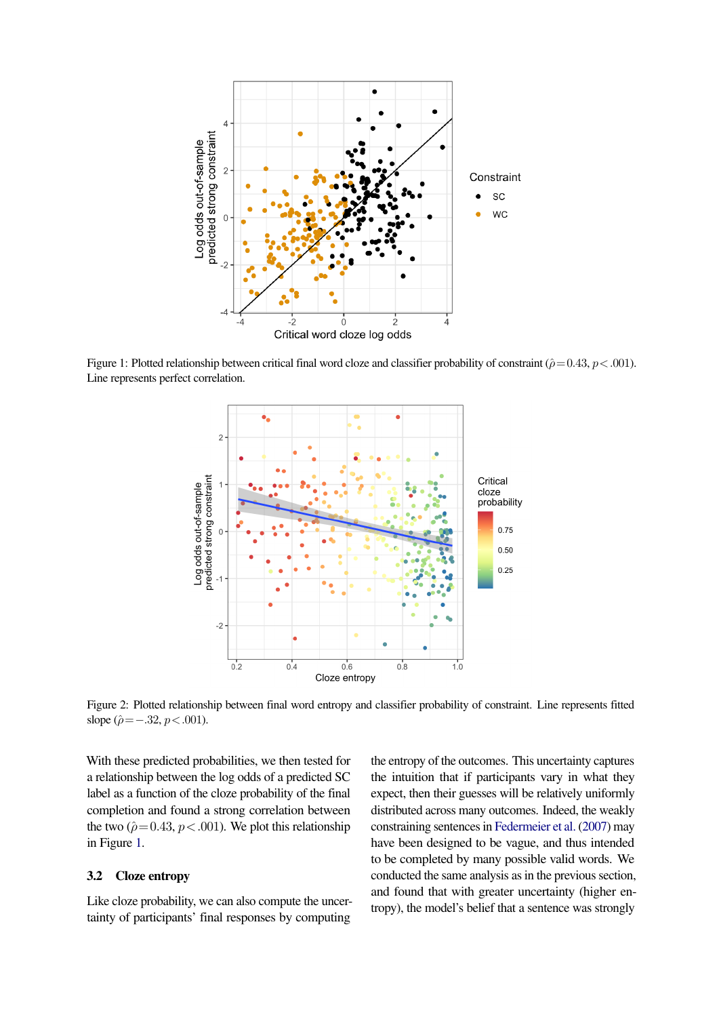<span id="page-2-1"></span>

<span id="page-2-2"></span>Figure 1: Plotted relationship between critical final word cloze and classifier probability of constraint ( $\hat{\rho}$  = 0.43, p < .001). Line represents perfect correlation.



Figure 2: Plotted relationship between final word entropy and classifier probability of constraint. Line represents fitted slope ( $\hat{\rho} = -.32, p < .001$ ).

With these predicted probabilities, we then tested for a relationship between the log odds of a predicted SC label as a function of the cloze probability of the final completion and found a strong correlation between the two ( $\hat{\rho}$  = 0.43, p < .001). We plot this relationship in Figure [1.](#page-2-1)

# <span id="page-2-0"></span>3.2 Cloze entropy

Like cloze probability, we can also compute the uncertainty of participants' final responses by computing

the entropy of the outcomes. This uncertainty captures the intuition that if participants vary in what they expect, then their guesses will be relatively uniformly distributed across many outcomes. Indeed, the weakly constraining sentences in [Federmeier et al.](#page-3-2) [\(2007\)](#page-3-2) may have been designed to be vague, and thus intended to be completed by many possible valid words. We conducted the same analysis as in the previous section, and found that with greater uncertainty (higher entropy), the model's belief that a sentence was strongly